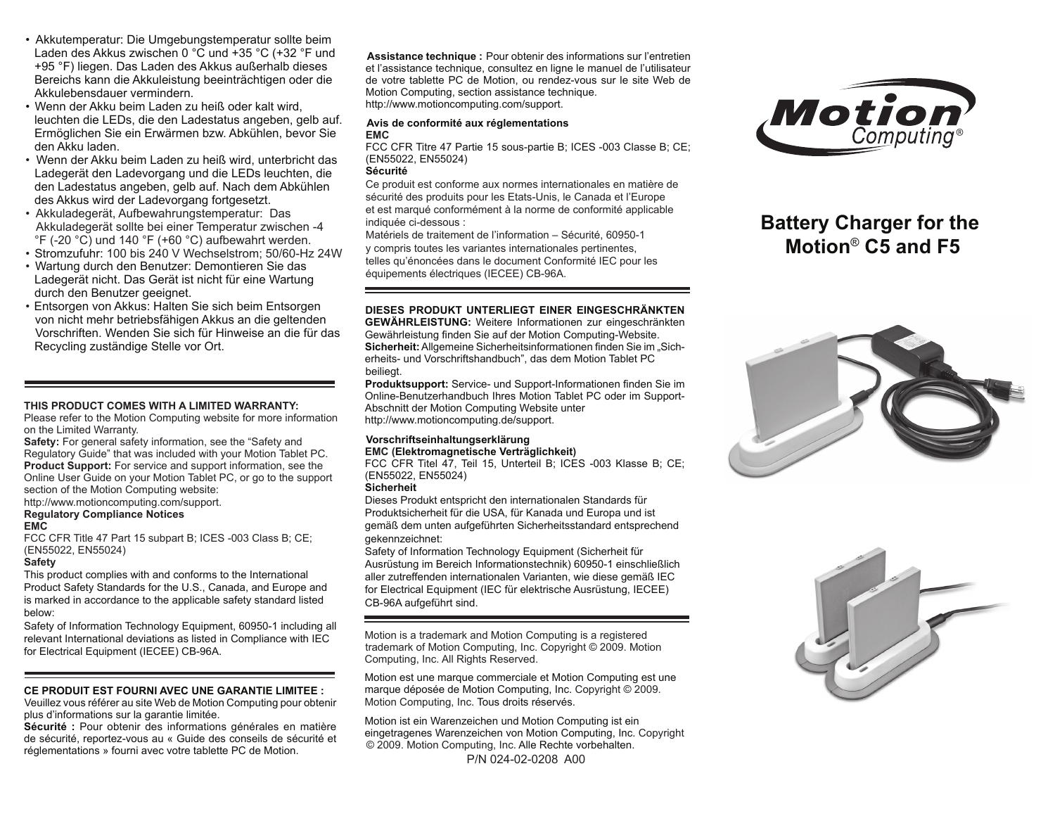- Akkutemperatur: Die Umgebungstemperatur sollte beim Laden des Akkus zwischen 0 °C und +35 °C (+32 °F und +95 °F) liegen. Das Laden des Akkus außerhalb dieses Bereichs kann die Akkuleistung beeinträchtigen oder die Akkulebensdauer vermindern.
- Wenn der Akku beim Laden zu heiß oder kalt wird, leuchten die LEDs, die den Ladestatus angeben, gelb auf. Ermöglichen Sie ein Erwärmen bzw. Abkühlen, bevor Sie den Akku laden.
- Wenn der Akku beim Laden zu heiß wird, unterbricht das Ladegerät den Ladevorgang und die LEDs leuchten, die den Ladestatus angeben, gelb auf. Nach dem Abkühlen des Akkus wird der Ladevorgang fortgesetzt.
- Akkuladegerät, Aufbewahrungstemperatur: Das Akkuladegerät sollte bei einer Temperatur zwischen -4  $\degree$ F (-20  $\degree$ C) und 140  $\degree$ F (+60  $\degree$ C) aufbewahrt werden.
- Stromzufuhr: 100 bis 240 V Wechselstrom; 50/60-Hz 24W
- Wartung durch den Benutzer: Demontieren Sie das Ladegerät nicht. Das Gerät ist nicht für eine Wartung durch den Benutzer geeignet.
- Entsorgen von Akkus: Halten Sie sich beim Entsorgen von nicht mehr betriebsfähigen Akkus an die geltenden Vorschriften. Wenden Sie sich für Hinweise an die für das Recycling zuständige Stelle vor Ort.

#### **THIS PRODUCT COMES WITH A LIMITED WARRANTY:**

Please refer to the Motion Computing website for more information on the Limited Warranty.

**Safety:** For general safety information, see the "Safety and Regulatory Guide" that was included with your Motion Tablet PC. **Product Support:** For service and support information, see the Online User Guide on your Motion Tablet PC, or go to the support section of the Motion Computing website: http://www.motioncomputing.com/support.

# **Regulatory Compliance Notices**

**EMC** 

FCC CFR Title 47 Part 15 subpart B; ICES -003 Class B; CE; (EN55022, EN55024)

#### **Safety**

This product complies with and conforms to the International Product Safety Standards for the U.S., Canada, and Europe and is marked in accordance to the applicable safety standard listed below:

Safety of Information Technology Equipment, 60950-1 including all relevant International deviations as listed in Compliance with IEC for Electrical Equipment (IECEE) CB-96A.

#### **CE PRODUIT EST FOURNI AVEC UNE GARANTIE LIMITEE :**

 Veuillez vous référer au site Web de Motion Computing pour obtenir plus d'informations sur la garantie limitée.

**Sécurité :** Pour obtenir des informations générales en matière de sécurité, reportez-vous au « Guide des conseils de sécurité et  **Assistance technique :** Pour obtenir des informations sur l'entretien et l'assistance technique, consultez en ligne le manuel de l'utilisateur de votre tablette PC de Motion, ou rendez-vous sur le site Web de Motion Computing, section assistance technique. http://www.motioncomputing.com/support.

#### **Avis de conformité aux réglementations EMC**

FCC CFR Titre 47 Partie 15 sous-partie B; ICES -003 Classe B; CE; (EN55022, EN55024)

#### **Sécurité**

Ce produit est conforme aux normes internationales en matière de sécurité des produits pour les Etats-Unis, le Canada et l'Europe et est marqué conformément à la norme de conformité applicable indiquée ci-dessous :

Matériels de traitement de l'information – Sécurité, 60950-1 y compris toutes les variantes internationales pertinentes, telles qu'énoncées dans le document Conformité IEC pour les équipements électriques (IECEE) CB-96A.

### **DIESES PRODUKT UNTERLIEGT EINER EINGESCHRÄNKTEN**

**GEWÄHRLEISTUNG:** Weitere Informationen zur eingeschränkten Gewährleistung finden Sie auf der Motion Computing-Website. Sicherheit: Allgemeine Sicherheitsinformationen finden Sie im "Sicherheits- und Vorschriftshandbuch", das dem Motion Tablet PC beiliegt.

**Produktsupport:** Service- und Support-Informationen finden Sie im Online-Benutzerhandbuch Ihres Motion Tablet PC oder im Support-Abschnitt der Motion Computing Website unter http://www.motioncomputing.de/support.

#### **Vorschriftseinhaltungserklärung EMC (Elektromagnetische Verträglichkeit)**

FCC CFR Titel 47, Teil 15, Unterteil B; ICES -003 Klasse B; CE; (EN55022, EN55024)

## **Sicherheit**

Dieses Produkt entspricht den internationalen Standards für Produktsicherheit für die USA, für Kanada und Europa und ist gemäß dem unten aufgeführten Sicherheitsstandard entsprechend gekennzeichnet:

Safety of Information Technology Equipment (Sicherheit für Ausrüstung im Bereich Informationstechnik) 60950-1 einschließlich aller zutreffenden internationalen Varianten, wie diese gemäß IEC for Electrical Equipment (IEC für elektrische Ausrüstung, IECEE) CB-96A aufgeführt sind.

Motion is a trademark and Motion Computing is a registered trademark of Motion Computing, Inc. Copyright © 2009. Motion Computing, Inc. All Rights Reserved.

Motion est une marque commerciale et Motion Computing est une marque déposée de Motion Computing, Inc. Copyright © 2009. Motion Computing, Inc. Tous droits réservés.

réglementations » fourni avec votre tablette PC de Motion.<br>P/N 024-02-0208 A00 Motion ist ein Warenzeichen und Motion Computing ist ein eingetragenes Warenzeichen von Motion Computing, Inc. Copyright © 2009. Motion Computing, Inc. Alle Rechte vorbehalten.



# **Battery Charger for the Motion**® **C5 and F5**